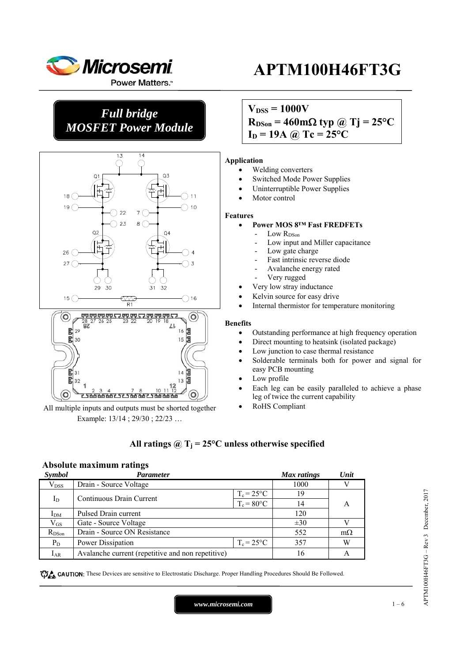

**Power Matters.**"

*Full bridge MOSFET Power Module* 



All multiple inputs and outputs must be shorted together Example: 13/14 ; 29/30 ; 22/23 …

<del>고객께및 행사가 251개</del>

# **APTM100H46FT3G**

 $V_{DSS} = 1000V$ 

 $R_{DSon} = 460 \text{m}\Omega \text{ typ } \textcircled{a}$  Tj = 25<sup>o</sup>C

 $I_D = 19A \omega Tc = 25^{\circ}C$ 

### **Application**

- Welding converters
- Switched Mode Power Supplies
- Uninterruptible Power Supplies
- Motor control

## **Features**

- **Power MOS 8™ Fast FREDFETs** 
	- Low R<sub>DSon</sub>
	- Low input and Miller capacitance
	- Low gate charge
	- Fast intrinsic reverse diode
	- Avalanche energy rated
	- Very rugged
- Very low stray inductance
- Kelvin source for easy drive
- Internal thermistor for temperature monitoring

#### **Benefits**

- Outstanding performance at high frequency operation
- Direct mounting to heatsink (isolated package)
- Low junction to case thermal resistance
- Solderable terminals both for power and signal for easy PCB mounting
- Low profile
- Each leg can be easily paralleled to achieve a phase leg of twice the current capability
- RoHS Compliant

## All ratings  $\omega_{\text{I}} = 25^{\circ}\text{C}$  unless otherwise specified

### **Absolute maximum ratings**

| <b>Symbol</b>   | Parameter                                         |                     | <b>Max</b> ratings | Unit      |
|-----------------|---------------------------------------------------|---------------------|--------------------|-----------|
| $\rm V_{DSS}$   | Drain - Source Voltage                            |                     | 1000               |           |
|                 |                                                   | $T_c = 25$ °C       | 19                 |           |
| $I_{D}$         | Continuous Drain Current                          | $T_c = 80$ °C       | 14                 | А         |
| I <sub>DM</sub> | Pulsed Drain current                              |                     |                    |           |
| $\rm V_{GS}$    | Gate - Source Voltage                             |                     | $\pm 30$           |           |
| $R_{DSon}$      | Drain - Source ON Resistance                      |                     | 552                | $m\Omega$ |
| $P_D$           | Power Dissipation                                 | $T_c = 25^{\circ}C$ | 357                | W         |
| $I_{AR}$        | Avalanche current (repetitive and non repetitive) |                     | 16                 | A         |

CAUTION: These Devices are sensitive to Electrostatic Discharge. Proper Handling Procedures Should Be Followed.

*www.microsemi.com* 1-6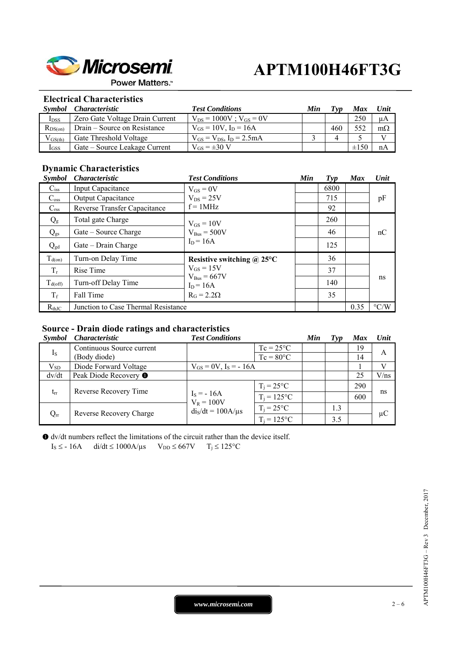

**Power Matters.**"

## **Electrical Characteristics**

| <i>Symbol</i>    | <i>Characteristic</i>           | <b>Test Conditions</b>            | Min | Tvn | <b>Max</b> | Unit      |
|------------------|---------------------------------|-----------------------------------|-----|-----|------------|-----------|
| I <sub>DSS</sub> | Zero Gate Voltage Drain Current | $V_{DS} = 1000V$ ; $V_{GS} = 0V$  |     |     | 250        | μA        |
| $R_{DS(on)}$     | Drain – Source on Resistance    | $V_{GS} = 10V$ , $I_D = 16A$      |     | 460 | 552        | $m\Omega$ |
| $V_{GS(th)}$     | Gate Threshold Voltage          | $V_{GS} = V_{DS}$ , $I_D = 2.5mA$ |     |     |            |           |
| $I_{GSS}$        | Gate – Source Leakage Current   | $V_{GS} = \pm 30$ V               |     |     | $\pm 150$  | nA        |

## **Dynamic Characteristics**

| <i><b>Symbol</b></i> | <i>Characteristic</i>               | <b>Test Conditions</b>                                                 | Min | $\boldsymbol{Typ}$ | <b>Max</b> | Unit               |
|----------------------|-------------------------------------|------------------------------------------------------------------------|-----|--------------------|------------|--------------------|
| $C$ <sub>iss</sub>   | Input Capacitance                   | $V_{GS} = 0V$                                                          |     | 6800               |            |                    |
| $C_{\rm oss}$        | <b>Output Capacitance</b>           | $V_{DS} = 25V$                                                         |     | 715                |            | pF                 |
| $C_{\rm rss}$        | Reverse Transfer Capacitance        | $f = 1MHz$                                                             |     | 92                 |            |                    |
| $Q_{g}$              | Total gate Charge                   | $V_{GS} = 10V$                                                         |     | 260                |            | nC                 |
| $Q_{gs}$             | Gate – Source Charge                | $V_{Bus} = 500V$                                                       |     | 46                 |            |                    |
| $Q_{gd}$             | Gate – Drain Charge                 | $I_D = 16A$                                                            |     | 125                |            |                    |
| $T_{d(on)}$          | Turn-on Delay Time                  | Resistive switching $\omega$ 25°C                                      |     | 36                 |            |                    |
| $T_r$                | Rise Time                           | $V_{GS} = 15V$<br>$V_{Bus} = 667V$<br>$I_D = 16A$<br>$R_G = 2.2\Omega$ |     | 37                 |            |                    |
| $T_{d(\text{off})}$  | Turn-off Delay Time                 |                                                                        |     | 140                |            | ns                 |
| $T_f$                | Fall Time                           |                                                                        |     | 35                 |            |                    |
| $R_{th,IC}$          | Junction to Case Thermal Resistance |                                                                        |     |                    | 0.35       | $\rm ^{\circ} C/W$ |

### **Source - Drain diode ratings and characteristics**

| <i><b>Symbol</b></i> | <i>Characteristic</i>            | <b>Test Conditions</b>       |                    | Min | Typ | <b>Max</b> | Unit    |
|----------------------|----------------------------------|------------------------------|--------------------|-----|-----|------------|---------|
|                      | Continuous Source current        |                              | $Tc = 25^{\circ}C$ |     |     | 19         |         |
| $I_{S}$              | (Body diode)                     |                              | $Tc = 80^{\circ}C$ |     |     | 14         | A       |
| $V_{SD}$             | Diode Forward Voltage            | $V_{GS} = 0V$ , $I_S = -16A$ |                    |     |     |            |         |
| dv/dt                | Peak Diode Recovery <sup>O</sup> |                              |                    |     |     | 25         | V/ns    |
| $t_{rr}$             | Reverse Recovery Time            |                              | $T_i = 25$ °C      |     |     | 290        |         |
|                      |                                  | $I_s = -16A$<br>$V_R = 100V$ | $T_i = 125$ °C     |     |     | 600        | ns      |
| $Q_{rr}$             | Reverse Recovery Charge          | $dis/dt = 100A/\mu s$        | $T_i = 25$ °C      |     | 1.3 |            |         |
|                      |                                  |                              | $T_i = 125$ °C     |     | 3.5 |            | $\mu$ C |

 dv/dt numbers reflect the limitations of the circuit rather than the device itself.  $I_S \leq -16A$  di/dt  $\leq 1000A/\mu s$   $V_{DD} \leq 667V$   $T_j \leq 125^{\circ}C$ 

> APTM100H46FT3G - Rev 3 December, 2017 APTM100H46FT3G – Rev 3 December, 2017

*www.microsemi.com* 2-6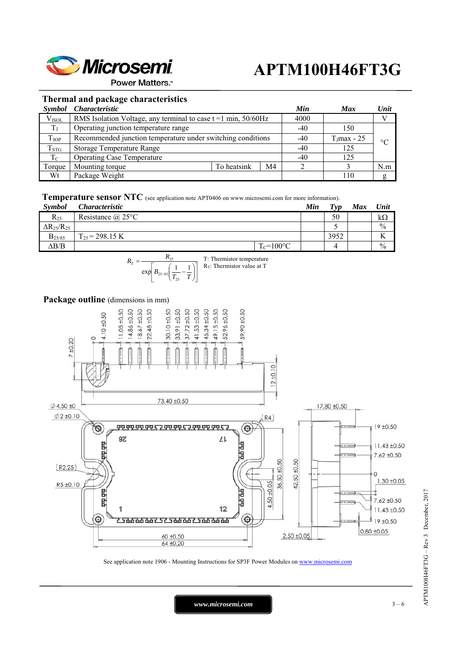

**Power Matters.**"

### **Thermal and package characteristics**

|                   | Symbol Characteristic                                               |             |    | Min   | <b>Max</b>     | Unit            |
|-------------------|---------------------------------------------------------------------|-------------|----|-------|----------------|-----------------|
| V <sub>ISOL</sub> | RMS Isolation Voltage, any terminal to case $t = 1$ min, $50/60$ Hz |             |    | 4000  |                |                 |
| $T_{\rm J}$       | Operating junction temperature range                                |             |    | $-40$ | 150            |                 |
| <b>T</b> JOP      | Recommended junction temperature under switching conditions         |             |    | $-40$ | $T_J$ max - 25 | $\rm ^{\circ}C$ |
| $T_{STG}$         | Storage Temperature Range                                           |             |    | $-40$ | 125            |                 |
| $T_{\rm C}$       | <b>Operating Case Temperature</b>                                   |             |    | $-40$ | 125            |                 |
| Torque            | Mounting torque                                                     | To heatsink | M4 |       |                | N.m             |
| Wt                | Package Weight                                                      |             |    |       | 110            |                 |

**Temperature sensor NTC** (see application note APT0406 on www.microsemi.com for more information).

| <b>Symbol</b>          | <i>Characteristic</i>    |                | Min | Tvp  | Max | Unit          |
|------------------------|--------------------------|----------------|-----|------|-----|---------------|
| $R_{25}$               | Resistance $\omega$ 25°C |                |     | 50   |     | $k\Omega$     |
| $\Delta R_{25}/R_{25}$ |                          |                |     |      |     | $\frac{0}{0}$ |
| $B_{25/85}$            | $T_{25}$ = 298.15 K      |                |     | 3952 |     |               |
| $\Delta B/B$           |                          | $T_c = 100$ °C |     |      |     | $\frac{0}{0}$ |



## Package outline (dimensions in mm)



See application note 1906 - Mounting Instructions for SP3F Power Modules on www.microsemi.com

*www.microsemi.com* 3 – 6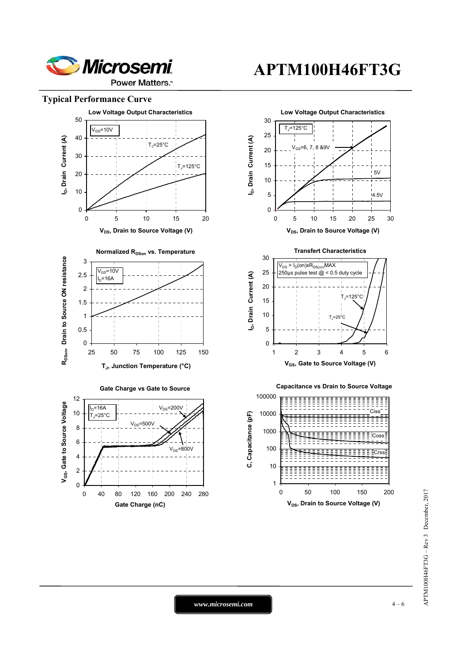

**Power Matters.** 

### **Typical Performance Curve**



*www.microsemi.com* 4-6

# **APTM100H46FT3G**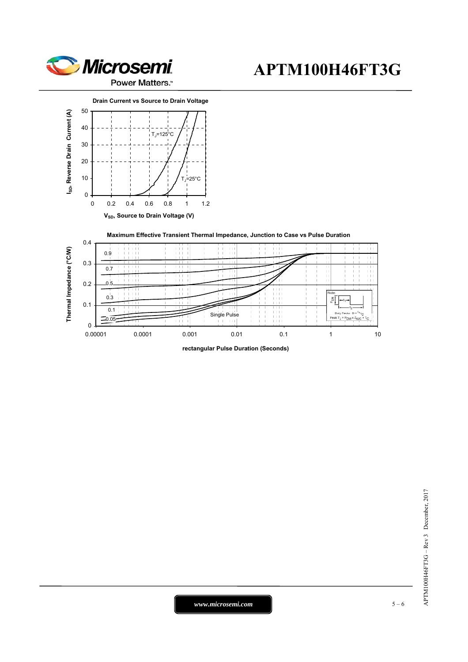





**rectangular Pulse Duration (Seconds)**

*www.microsemi.com* 15 – 6